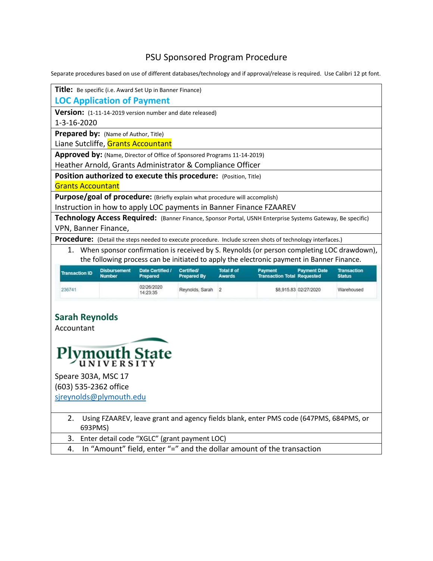## PSU Sponsored Program Procedure

Separate procedures based on use of different databases/technology and if approval/release is required. Use Calibri 12 pt font.

| Title: Be specific (i.e. Award Set Up in Banner Finance)                                                   |                                                                                           |                                         |                             |                                               |                       |                                     |  |  |
|------------------------------------------------------------------------------------------------------------|-------------------------------------------------------------------------------------------|-----------------------------------------|-----------------------------|-----------------------------------------------|-----------------------|-------------------------------------|--|--|
| <b>LOC Application of Payment</b>                                                                          |                                                                                           |                                         |                             |                                               |                       |                                     |  |  |
| Version: (1-11-14-2019 version number and date released)                                                   |                                                                                           |                                         |                             |                                               |                       |                                     |  |  |
| 1-3-16-2020                                                                                                |                                                                                           |                                         |                             |                                               |                       |                                     |  |  |
|                                                                                                            | Prepared by: (Name of Author, Title)                                                      |                                         |                             |                                               |                       |                                     |  |  |
| Liane Sutcliffe, Grants Accountant                                                                         |                                                                                           |                                         |                             |                                               |                       |                                     |  |  |
| Approved by: (Name, Director of Office of Sponsored Programs 11-14-2019)                                   |                                                                                           |                                         |                             |                                               |                       |                                     |  |  |
| Heather Arnold, Grants Administrator & Compliance Officer                                                  |                                                                                           |                                         |                             |                                               |                       |                                     |  |  |
| Position authorized to execute this procedure: (Position, Title)                                           |                                                                                           |                                         |                             |                                               |                       |                                     |  |  |
| <b>Grants Accountant</b>                                                                                   |                                                                                           |                                         |                             |                                               |                       |                                     |  |  |
| Purpose/goal of procedure: (Briefly explain what procedure will accomplish)                                |                                                                                           |                                         |                             |                                               |                       |                                     |  |  |
| Instruction in how to apply LOC payments in Banner Finance FZAAREV                                         |                                                                                           |                                         |                             |                                               |                       |                                     |  |  |
| Technology Access Required: (Banner Finance, Sponsor Portal, USNH Enterprise Systems Gateway, Be specific) |                                                                                           |                                         |                             |                                               |                       |                                     |  |  |
| VPN, Banner Finance,                                                                                       |                                                                                           |                                         |                             |                                               |                       |                                     |  |  |
| Procedure: (Detail the steps needed to execute procedure. Include screen shots of technology interfaces.)  |                                                                                           |                                         |                             |                                               |                       |                                     |  |  |
| When sponsor confirmation is received by S. Reynolds (or person completing LOC drawdown),<br>1.            |                                                                                           |                                         |                             |                                               |                       |                                     |  |  |
|                                                                                                            | the following process can be initiated to apply the electronic payment in Banner Finance. |                                         |                             |                                               |                       |                                     |  |  |
| <b>Transaction ID</b><br><b>Number</b>                                                                     | Date Certified /<br><b>Disbursement</b><br>Prepared                                       | <b>Certified/</b><br><b>Prepared By</b> | Total # of<br><b>Awards</b> | Payment<br><b>Transaction Total Requested</b> | <b>Payment Date</b>   | <b>Transaction</b><br><b>Status</b> |  |  |
| 236741                                                                                                     | 02/26/2020<br>14:23:35                                                                    | Reynolds, Sarah                         | $\overline{2}$              |                                               | \$8,915.83 02/27/2020 | Warehoused                          |  |  |
| <b>Sarah Reynolds</b><br>Accountant<br>Plymouth State<br>Speare 303A, MSC 17<br>(603) 535-2362 office      |                                                                                           |                                         |                             |                                               |                       |                                     |  |  |

- 2. Using FZAAREV, leave grant and agency fields blank, enter PMS code (647PMS, 684PMS, or 693PMS)
- 3. Enter detail code "XGLC" (grant payment LOC)
- 4. In "Amount" field, enter "=" and the dollar amount of the transaction